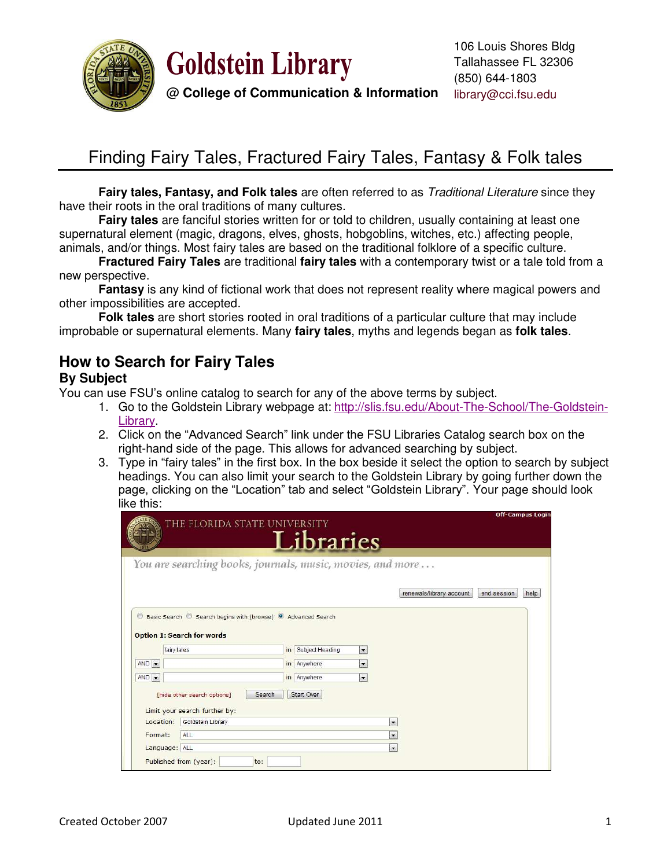



**@ College of Communication & Information**

# Finding Fairy Tales, Fractured Fairy Tales, Fantasy & Folk tales

**Fairy tales, Fantasy, and Folk tales** are often referred to as *Traditional Literature* since they have their roots in the oral traditions of many cultures.

 **Fairy tales** are fanciful stories written for or told to children, usually containing at least one supernatural element (magic, dragons, elves, ghosts, hobgoblins, witches, etc.) affecting people, animals, and/or things. Most fairy tales are based on the traditional folklore of a specific culture.

**Fractured Fairy Tales** are traditional **fairy tales** with a contemporary twist or a tale told from a new perspective.

**Fantasy** is any kind of fictional work that does not represent reality where magical powers and other impossibilities are accepted.

 **Folk tales** are short stories rooted in oral traditions of a particular culture that may include improbable or supernatural elements. Many **fairy tales**, myths and legends began as **folk tales**.

### **How to Search for Fairy Tales**

#### **By Subject**

You can use FSU"s online catalog to search for any of the above terms by subject.

- 1. Go to the Goldstein Library webpage at: [http://slis.fsu.edu/About-The-School/The-Goldstein-](http://slis.fsu.edu/About-The-School/The-Goldstein-Library)[Library.](http://slis.fsu.edu/About-The-School/The-Goldstein-Library)
- 2. Click on the "Advanced Search" link under the FSU Libraries Catalog search box on the right-hand side of the page. This allows for advanced searching by subject.
- 3. Type in "fairy tales" in the first box. In the box beside it select the option to search by subject headings. You can also limit your search to the Goldstein Library by going further down the page, clicking on the "Location" tab and select "Goldstein Library". Your page should look like this:

|                               | THE FLORIDA STATE UNIVERSITY                                                                                 |                                                            | <b>Off-Campus Login</b>                         |
|-------------------------------|--------------------------------------------------------------------------------------------------------------|------------------------------------------------------------|-------------------------------------------------|
|                               |                                                                                                              | Libraries                                                  |                                                 |
|                               |                                                                                                              | You are searching books, journals, music, movies, and more |                                                 |
|                               |                                                                                                              |                                                            | renewals/library account<br>end session<br>help |
| $\circledcirc$                | Basic Search © Search begins with (browse) <sup>O</sup> Advanced Search<br><b>Option 1: Search for words</b> |                                                            |                                                 |
|                               | fairy tales                                                                                                  | in Subject Heading<br>$\overline{\phantom{a}}$             |                                                 |
|                               |                                                                                                              |                                                            |                                                 |
|                               |                                                                                                              | in Anywhere<br>$\cdot$                                     |                                                 |
|                               |                                                                                                              | in Anywhere<br>$\cdot$                                     |                                                 |
|                               | Search<br>[hide other search options]<br>Limit your search further by:                                       | Start Over                                                 |                                                 |
| Location:                     | Goldstein Library                                                                                            | $\cdot$                                                    |                                                 |
| $AND -$<br>$AND -$<br>Format: | ALL                                                                                                          | $\overline{\phantom{a}}$                                   |                                                 |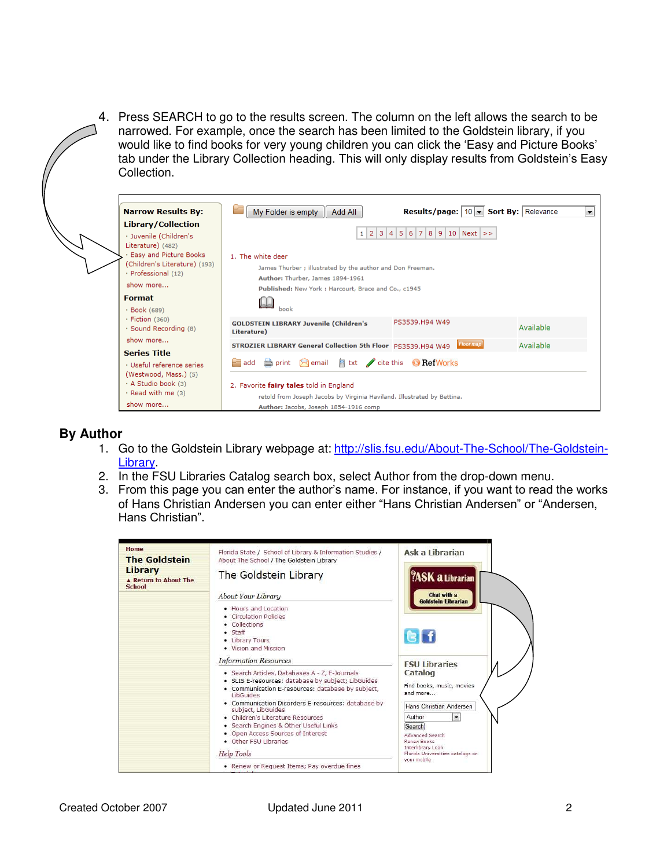4. Press SEARCH to go to the results screen. The column on the left allows the search to be narrowed. For example, once the search has been limited to the Goldstein library, if you would like to find books for very young children you can click the "Easy and Picture Books" tab under the Library Collection heading. This will only display results from Goldstein"s Easy Collection.

| <b>Narrow Results By:</b>                                                                     | ۳<br>My Folder is empty<br><b>Results/page:</b>   10 $\vert \mathbf{v} \vert$ <b>Sort By:</b>   Relevance<br>Add All | ▼ |  |  |  |  |  |
|-----------------------------------------------------------------------------------------------|----------------------------------------------------------------------------------------------------------------------|---|--|--|--|--|--|
| Library/Collection                                                                            |                                                                                                                      |   |  |  |  |  |  |
| · Juvenile (Children's                                                                        | $1 \ 2 \ 3 \ 4 \ 5 \ 6 \ 7 \ 8 \ 9 \ 10 \ Next \>>$                                                                  |   |  |  |  |  |  |
| Literature) (482)                                                                             |                                                                                                                      |   |  |  |  |  |  |
| · Easy and Picture Books<br>(Children's Literature) (193)                                     | 1. The white deer<br>James Thurber ; illustrated by the author and Don Freeman.                                      |   |  |  |  |  |  |
| · Professional (12)                                                                           |                                                                                                                      |   |  |  |  |  |  |
| show more                                                                                     | Author: Thurber, James 1894-1961                                                                                     |   |  |  |  |  |  |
| <b>Format</b>                                                                                 | Published: New York : Harcourt, Brace and Co., c1945                                                                 |   |  |  |  |  |  |
| · Book (689)                                                                                  | book                                                                                                                 |   |  |  |  |  |  |
| $\cdot$ Fiction (360)                                                                         | PS3539.H94 W49                                                                                                       |   |  |  |  |  |  |
| · Sound Recording (8)                                                                         | <b>GOLDSTEIN LIBRARY Juvenile (Children's</b><br>Available<br>Literature)                                            |   |  |  |  |  |  |
| show more                                                                                     | <b>Floor</b> map<br>Available                                                                                        |   |  |  |  |  |  |
| <b>Series Title</b>                                                                           | STROZIER LIBRARY General Collection 5th Floor PS3539.H94 W49                                                         |   |  |  |  |  |  |
| · Useful reference series                                                                     | add $\Box$ print $\Box$ email $\Box$ txt cite this $\Box$ RefWorks<br>2. Favorite fairy tales told in England        |   |  |  |  |  |  |
| (Westwood, Mass.) (5)                                                                         |                                                                                                                      |   |  |  |  |  |  |
| · A Studio book (3)                                                                           |                                                                                                                      |   |  |  |  |  |  |
| · Read with me (3)<br>retold from Joseph Jacobs by Virginia Haviland. Illustrated by Bettina. |                                                                                                                      |   |  |  |  |  |  |
| show more                                                                                     | Author: Jacobs, Joseph 1854-1916 comp                                                                                |   |  |  |  |  |  |

### **By Author**

- 1. Go to the Goldstein Library webpage at: [http://slis.fsu.edu/About-The-School/The-Goldstein-](http://slis.fsu.edu/About-The-School/The-Goldstein-Library)[Library.](http://slis.fsu.edu/About-The-School/The-Goldstein-Library)
- 2. In the FSU Libraries Catalog search box, select Author from the drop-down menu.
- 3. From this page you can enter the author"s name. For instance, if you want to read the works of Hans Christian Andersen you can enter either "Hans Christian Andersen" or "Andersen, Hans Christian".

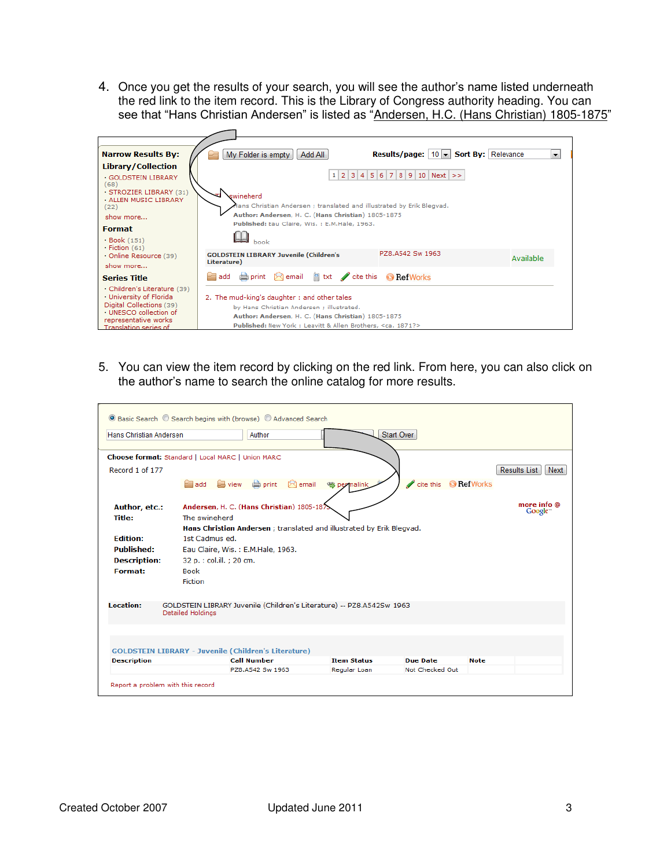4. Once you get the results of your search, you will see the author"s name listed underneath the red link to the item record. This is the Library of Congress authority heading. You can see that "Hans Christian Andersen" is listed as "Andersen, H.C. (Hans Christian) 1805-1875"



5. You can view the item record by clicking on the red link. From here, you can also click on the author"s name to search the online catalog for more results.

| ◉ Basic Search © Search begins with (browse) © Advanced Search |                                            |                                                                       |                    |                                |             |                                    |  |  |  |  |  |  |
|----------------------------------------------------------------|--------------------------------------------|-----------------------------------------------------------------------|--------------------|--------------------------------|-------------|------------------------------------|--|--|--|--|--|--|
| Hans Christian Andersen                                        |                                            | Author                                                                |                    | Start Over                     |             |                                    |  |  |  |  |  |  |
| Choose format: Standard   Local MARC   Union MARC              |                                            |                                                                       |                    |                                |             |                                    |  |  |  |  |  |  |
| Record 1 of 177                                                |                                            |                                                                       |                    |                                |             | <b>Results List</b><br>Next        |  |  |  |  |  |  |
|                                                                | ⋍<br>add                                   | $\boxtimes$ email<br>$\Box$ view $\Box$ print                         | 等 permalink        | Í<br>cite this <b>RefWorks</b> |             |                                    |  |  |  |  |  |  |
| Author, etc.:                                                  | Andersen, H. C. (Hans Christian) 1805-187. |                                                                       |                    |                                |             | more info @<br>Google <sup>*</sup> |  |  |  |  |  |  |
| <b>Title:</b>                                                  | The swineherd                              |                                                                       |                    |                                |             |                                    |  |  |  |  |  |  |
|                                                                |                                            | Hans Christian Andersen ; translated and illustrated by Erik Blegvad. |                    |                                |             |                                    |  |  |  |  |  |  |
| <b>Edition:</b>                                                | 1st Cadmus ed.                             |                                                                       |                    |                                |             |                                    |  |  |  |  |  |  |
| <b>Published:</b>                                              | Eau Claire, Wis.: E.M.Hale, 1963.          |                                                                       |                    |                                |             |                                    |  |  |  |  |  |  |
| <b>Description:</b>                                            | 32 p. : col.ill. ; 20 cm.                  |                                                                       |                    |                                |             |                                    |  |  |  |  |  |  |
| Format:                                                        | <b>Book</b>                                |                                                                       |                    |                                |             |                                    |  |  |  |  |  |  |
|                                                                | <b>Fiction</b>                             |                                                                       |                    |                                |             |                                    |  |  |  |  |  |  |
| Location:                                                      | <b>Detailed Holdings</b>                   | GOLDSTEIN LIBRARY Juvenile (Children's Literature) -- PZ8.A542Sw 1963 |                    |                                |             |                                    |  |  |  |  |  |  |
| <b>GOLDSTEIN LIBRARY - Juvenile (Children's Literature)</b>    |                                            |                                                                       |                    |                                |             |                                    |  |  |  |  |  |  |
| <b>Description</b>                                             |                                            | <b>Call Number</b>                                                    | <b>Item Status</b> | <b>Due Date</b>                | <b>Note</b> |                                    |  |  |  |  |  |  |
|                                                                |                                            | PZ8.A542 Sw 1963                                                      | Regular Loan       | Not Checked Out                |             |                                    |  |  |  |  |  |  |
| Report a problem with this record                              |                                            |                                                                       |                    |                                |             |                                    |  |  |  |  |  |  |